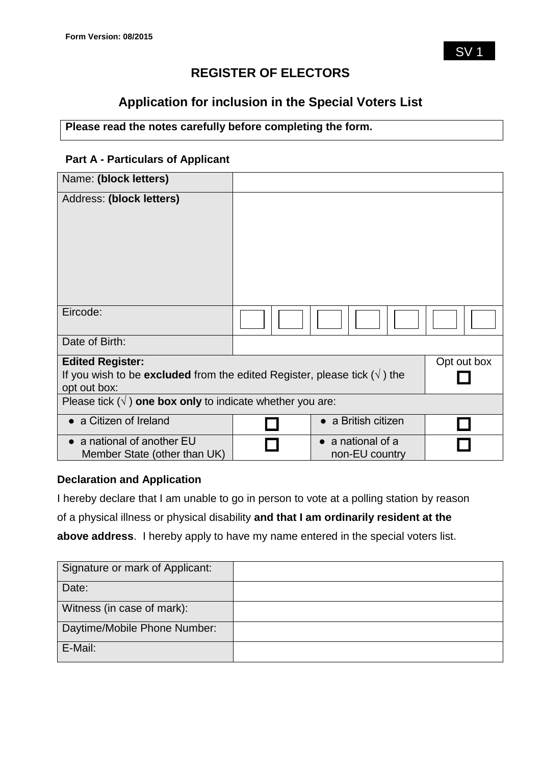# **REGISTER OF ELECTORS**

# **Application for inclusion in the Special Voters List**

## **Please read the notes carefully before completing the form.**

### **Part A - Particulars of Applicant**

| Name: (block letters)                                                                                   |  |                                                |             |
|---------------------------------------------------------------------------------------------------------|--|------------------------------------------------|-------------|
| Address: (block letters)                                                                                |  |                                                |             |
|                                                                                                         |  |                                                |             |
|                                                                                                         |  |                                                |             |
|                                                                                                         |  |                                                |             |
|                                                                                                         |  |                                                |             |
|                                                                                                         |  |                                                |             |
| Eircode:                                                                                                |  |                                                |             |
| Date of Birth:                                                                                          |  |                                                |             |
| <b>Edited Register:</b>                                                                                 |  |                                                | Opt out box |
| If you wish to be <b>excluded</b> from the edited Register, please tick $(\sqrt{})$ the<br>opt out box: |  |                                                |             |
| Please tick $(\sqrt{})$ one box only to indicate whether you are:                                       |  |                                                |             |
| a Citizen of Ireland<br>$\bullet$                                                                       |  | a British citizen                              |             |
| • a national of another EU<br>Member State (other than UK)                                              |  | a national of a<br>$\bullet$<br>non-EU country |             |

### **Declaration and Application**

I hereby declare that I am unable to go in person to vote at a polling station by reason

of a physical illness or physical disability **and that I am ordinarily resident at the** 

**above address**. I hereby apply to have my name entered in the special voters list.

| Signature or mark of Applicant: |  |
|---------------------------------|--|
| Date:                           |  |
| Witness (in case of mark):      |  |
| Daytime/Mobile Phone Number:    |  |
| E-Mail:                         |  |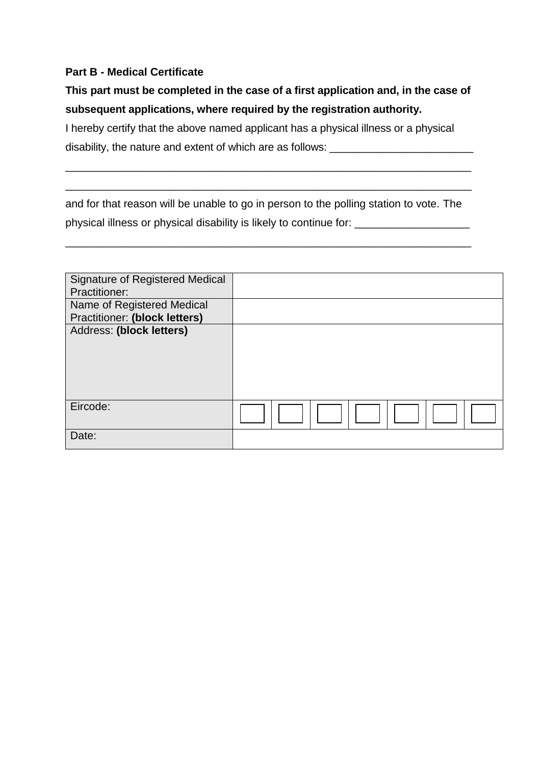### **Part B - Medical Certificate**

# **This part must be completed in the case of a first application and, in the case of subsequent applications, where required by the registration authority.**

I hereby certify that the above named applicant has a physical illness or a physical disability, the nature and extent of which are as follows: \_\_\_\_\_\_\_\_\_\_\_\_\_\_\_\_\_\_\_\_\_

\_\_\_\_\_\_\_\_\_\_\_\_\_\_\_\_\_\_\_\_\_\_\_\_\_\_\_\_\_\_\_\_\_\_\_\_\_\_\_\_\_\_\_\_\_\_\_\_\_\_\_\_\_\_\_\_\_\_\_\_\_\_\_\_\_\_\_

\_\_\_\_\_\_\_\_\_\_\_\_\_\_\_\_\_\_\_\_\_\_\_\_\_\_\_\_\_\_\_\_\_\_\_\_\_\_\_\_\_\_\_\_\_\_\_\_\_\_\_\_\_\_\_\_\_\_\_\_\_\_\_\_\_\_\_

and for that reason will be unable to go in person to the polling station to vote. The physical illness or physical disability is likely to continue for: \_\_\_\_\_\_\_\_\_\_\_\_\_\_

\_\_\_\_\_\_\_\_\_\_\_\_\_\_\_\_\_\_\_\_\_\_\_\_\_\_\_\_\_\_\_\_\_\_\_\_\_\_\_\_\_\_\_\_\_\_\_\_\_\_\_\_\_\_\_\_\_\_\_\_\_\_\_\_\_\_\_

| Signature of Registered Medical<br><b>Practitioner:</b> |  |
|---------------------------------------------------------|--|
|                                                         |  |
| Name of Registered Medical                              |  |
| <b>Practitioner: (block letters)</b>                    |  |
| Address: (block letters)                                |  |
|                                                         |  |
|                                                         |  |
|                                                         |  |
|                                                         |  |
|                                                         |  |
|                                                         |  |
| Eircode:                                                |  |
|                                                         |  |
|                                                         |  |
| Date:                                                   |  |
|                                                         |  |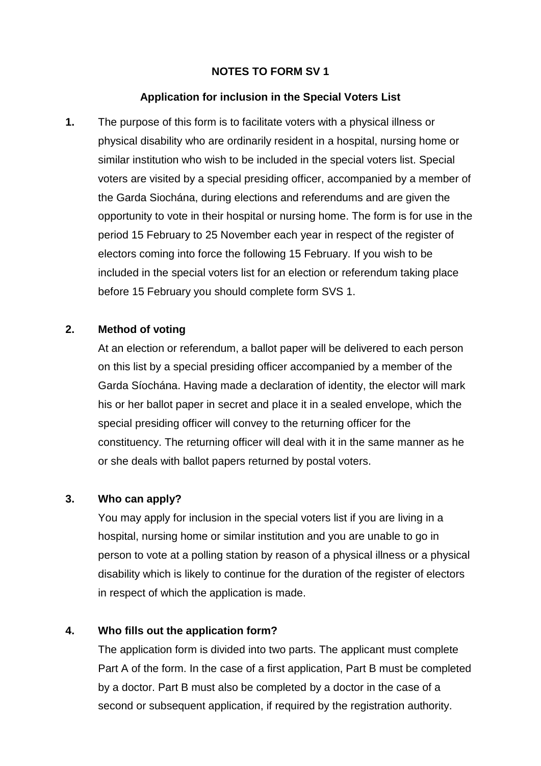### **NOTES TO FORM SV 1**

### **Application for inclusion in the Special Voters List**

**1.** The purpose of this form is to facilitate voters with a physical illness or physical disability who are ordinarily resident in a hospital, nursing home or similar institution who wish to be included in the special voters list. Special voters are visited by a special presiding officer, accompanied by a member of the Garda Siochána, during elections and referendums and are given the opportunity to vote in their hospital or nursing home. The form is for use in the period 15 February to 25 November each year in respect of the register of electors coming into force the following 15 February. If you wish to be included in the special voters list for an election or referendum taking place before 15 February you should complete form SVS 1.

### **2. Method of voting**

At an election or referendum, a ballot paper will be delivered to each person on this list by a special presiding officer accompanied by a member of the Garda Síochána. Having made a declaration of identity, the elector will mark his or her ballot paper in secret and place it in a sealed envelope, which the special presiding officer will convey to the returning officer for the constituency. The returning officer will deal with it in the same manner as he or she deals with ballot papers returned by postal voters.

### **3. Who can apply?**

You may apply for inclusion in the special voters list if you are living in a hospital, nursing home or similar institution and you are unable to go in person to vote at a polling station by reason of a physical illness or a physical disability which is likely to continue for the duration of the register of electors in respect of which the application is made.

### **4. Who fills out the application form?**

The application form is divided into two parts. The applicant must complete Part A of the form. In the case of a first application, Part B must be completed by a doctor. Part B must also be completed by a doctor in the case of a second or subsequent application, if required by the registration authority.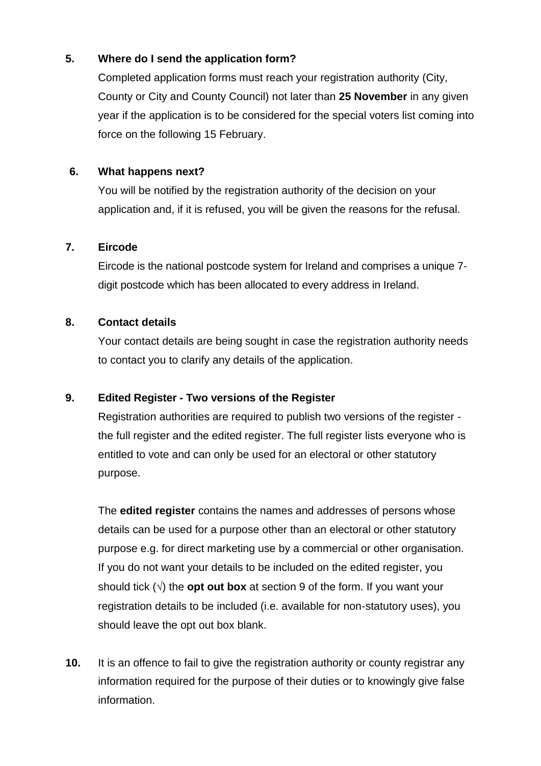## **5. Where do I send the application form?**

Completed application forms must reach your registration authority (City, County or City and County Council) not later than **25 November** in any given year if the application is to be considered for the special voters list coming into force on the following 15 February.

## **6. What happens next?**

You will be notified by the registration authority of the decision on your application and, if it is refused, you will be given the reasons for the refusal.

## **7. Eircode**

Eircode is the national postcode system for Ireland and comprises a unique 7 digit postcode which has been allocated to every address in Ireland.

## **8. Contact details**

Your contact details are being sought in case the registration authority needs to contact you to clarify any details of the application.

## **9. Edited Register - Two versions of the Register**

Registration authorities are required to publish two versions of the register the full register and the edited register. The full register lists everyone who is entitled to vote and can only be used for an electoral or other statutory purpose.

The **edited register** contains the names and addresses of persons whose details can be used for a purpose other than an electoral or other statutory purpose e.g. for direct marketing use by a commercial or other organisation. If you do not want your details to be included on the edited register, you should tick  $(\sqrt)$  the **opt out box** at section 9 of the form. If you want your registration details to be included (i.e. available for non-statutory uses), you should leave the opt out box blank.

**10.** It is an offence to fail to give the registration authority or county registrar any information required for the purpose of their duties or to knowingly give false information.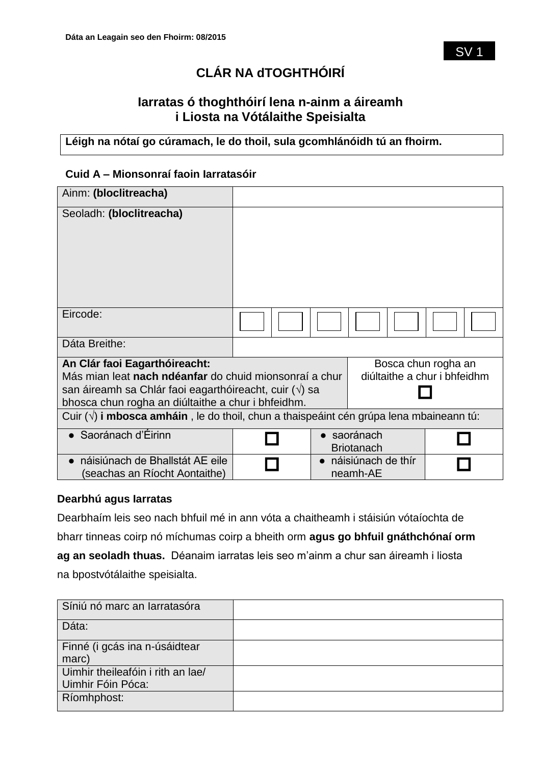# **CLÁR NA dTOGHTHÓIRÍ**

## **Iarratas ó thoghthóirí lena n-ainm a áireamh i Liosta na Vótálaithe Speisialta**

**Léigh na nótaí go cúramach, le do thoil, sula gcomhlánóidh tú an fhoirm.**

### **Cuid A – Mionsonraí faoin Iarratasóir**

| Ainm: (bloclitreacha)                                                                                        |                     |  |                              |                                |  |  |  |
|--------------------------------------------------------------------------------------------------------------|---------------------|--|------------------------------|--------------------------------|--|--|--|
| Seoladh: (bloclitreacha)                                                                                     |                     |  |                              |                                |  |  |  |
| Eircode:                                                                                                     |                     |  |                              |                                |  |  |  |
| Dáta Breithe:                                                                                                |                     |  |                              |                                |  |  |  |
| An Clár faoi Eagarthóireacht:                                                                                | Bosca chun rogha an |  |                              |                                |  |  |  |
| Más mian leat nach ndéanfar do chuid mionsonraí a chur                                                       |                     |  | diúltaithe a chur i bhfeidhm |                                |  |  |  |
| san áireamh sa Chlár faoi eagarthóireacht, cuir (√) sa<br>bhosca chun rogha an diúltaithe a chur i bhfeidhm. |                     |  |                              |                                |  |  |  |
| Cuir $(\sqrt{ } )$ i mbosca amháin, le do thoil, chun a thaispeáint cén grúpa lena mbaineann tú:             |                     |  |                              |                                |  |  |  |
| Saoránach d'Éirinn                                                                                           |                     |  | $\bullet$                    | saoránach<br><b>Briotanach</b> |  |  |  |
| náisiúnach de Bhallstát AE eile<br>(seachas an Ríocht Aontaithe)                                             |                     |  |                              | náisiúnach de thír<br>neamh-AE |  |  |  |

### **Dearbhú agus Iarratas**

Dearbhaím leis seo nach bhfuil mé in ann vóta a chaitheamh i stáisiún vótaíochta de

bharr tinneas coirp nó míchumas coirp a bheith orm **agus go bhfuil gnáthchónaí orm** 

**ag an seoladh thuas.** Déanaim iarratas leis seo m'ainm a chur san áireamh i liosta

na bpostvótálaithe speisialta.

| Síniú nó marc an larratasóra      |  |
|-----------------------------------|--|
| Dáta:                             |  |
| Finné (i gcás ina n-úsáidtear     |  |
| marc)                             |  |
| Uimhir theileafóin i rith an lae/ |  |
| Uimhir Fóin Póca:                 |  |
| Ríomhphost:                       |  |
|                                   |  |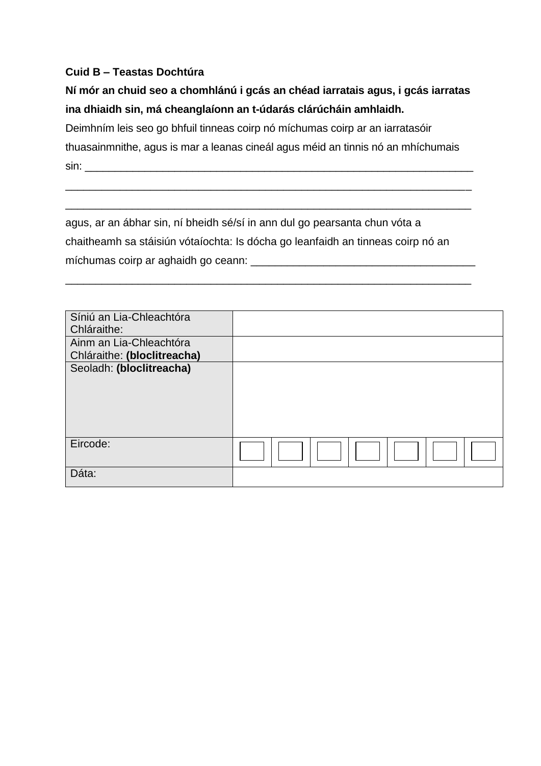### **Cuid B – Teastas Dochtúra**

**Ní mór an chuid seo a chomhlánú i gcás an chéad iarratais agus, i gcás iarratas ina dhiaidh sin, má cheanglaíonn an t-údarás clárúcháin amhlaidh.**

Deimhním leis seo go bhfuil tinneas coirp nó míchumas coirp ar an iarratasóir thuasainmnithe, agus is mar a leanas cineál agus méid an tinnis nó an mhíchumais  $sin:$ 

\_\_\_\_\_\_\_\_\_\_\_\_\_\_\_\_\_\_\_\_\_\_\_\_\_\_\_\_\_\_\_\_\_\_\_\_\_\_\_\_\_\_\_\_\_\_\_\_\_\_\_\_\_\_\_\_\_\_\_\_\_\_\_\_\_\_\_

\_\_\_\_\_\_\_\_\_\_\_\_\_\_\_\_\_\_\_\_\_\_\_\_\_\_\_\_\_\_\_\_\_\_\_\_\_\_\_\_\_\_\_\_\_\_\_\_\_\_\_\_\_\_\_\_\_\_\_\_\_\_\_\_\_\_\_

\_\_\_\_\_\_\_\_\_\_\_\_\_\_\_\_\_\_\_\_\_\_\_\_\_\_\_\_\_\_\_\_\_\_\_\_\_\_\_\_\_\_\_\_\_\_\_\_\_\_\_\_\_\_\_\_\_\_\_\_\_\_\_\_\_\_\_

agus, ar an ábhar sin, ní bheidh sé/sí in ann dul go pearsanta chun vóta a chaitheamh sa stáisiún vótaíochta: Is dócha go leanfaidh an tinneas coirp nó an míchumas coirp ar aghaidh go ceann: \_\_\_\_\_\_\_\_\_\_\_\_\_\_\_\_\_\_\_\_\_\_\_\_\_\_\_\_\_\_\_\_\_\_\_\_\_

| Síniú an Lia-Chleachtóra<br>Chláraithe:                |  |
|--------------------------------------------------------|--|
| Ainm an Lia-Chleachtóra<br>Chláraithe: (bloclitreacha) |  |
| Seoladh: (bloclitreacha)                               |  |
|                                                        |  |
|                                                        |  |
|                                                        |  |
| Eircode:                                               |  |
| Dáta:                                                  |  |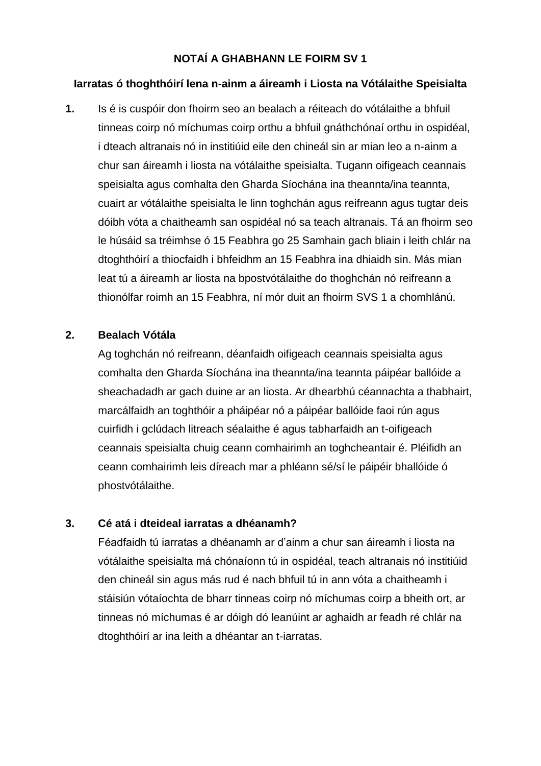## **NOTAÍ A GHABHANN LE FOIRM SV 1**

### **Iarratas ó thoghthóirí lena n-ainm a áireamh i Liosta na Vótálaithe Speisialta**

**1.** Is é is cuspóir don fhoirm seo an bealach a réiteach do vótálaithe a bhfuil tinneas coirp nó míchumas coirp orthu a bhfuil gnáthchónaí orthu in ospidéal, i dteach altranais nó in institiúid eile den chineál sin ar mian leo a n-ainm a chur san áireamh i liosta na vótálaithe speisialta. Tugann oifigeach ceannais speisialta agus comhalta den Gharda Síochána ina theannta/ina teannta, cuairt ar vótálaithe speisialta le linn toghchán agus reifreann agus tugtar deis dóibh vóta a chaitheamh san ospidéal nó sa teach altranais. Tá an fhoirm seo le húsáid sa tréimhse ó 15 Feabhra go 25 Samhain gach bliain i leith chlár na dtoghthóirí a thiocfaidh i bhfeidhm an 15 Feabhra ina dhiaidh sin. Más mian leat tú a áireamh ar liosta na bpostvótálaithe do thoghchán nó reifreann a thionólfar roimh an 15 Feabhra, ní mór duit an fhoirm SVS 1 a chomhlánú.

### **2. Bealach Vótála**

Ag toghchán nó reifreann, déanfaidh oifigeach ceannais speisialta agus comhalta den Gharda Síochána ina theannta/ina teannta páipéar ballóide a sheachadadh ar gach duine ar an liosta. Ar dhearbhú céannachta a thabhairt, marcálfaidh an toghthóir a pháipéar nó a páipéar ballóide faoi rún agus cuirfidh i gclúdach litreach séalaithe é agus tabharfaidh an t-oifigeach ceannais speisialta chuig ceann comhairimh an toghcheantair é. Pléifidh an ceann comhairimh leis díreach mar a phléann sé/sí le páipéir bhallóide ó phostvótálaithe.

## **3. Cé atá i dteideal iarratas a dhéanamh?**

Féadfaidh tú iarratas a dhéanamh ar d'ainm a chur san áireamh i liosta na vótálaithe speisialta má chónaíonn tú in ospidéal, teach altranais nó institiúid den chineál sin agus más rud é nach bhfuil tú in ann vóta a chaitheamh i stáisiún vótaíochta de bharr tinneas coirp nó míchumas coirp a bheith ort, ar tinneas nó míchumas é ar dóigh dó leanúint ar aghaidh ar feadh ré chlár na dtoghthóirí ar ina leith a dhéantar an t-iarratas.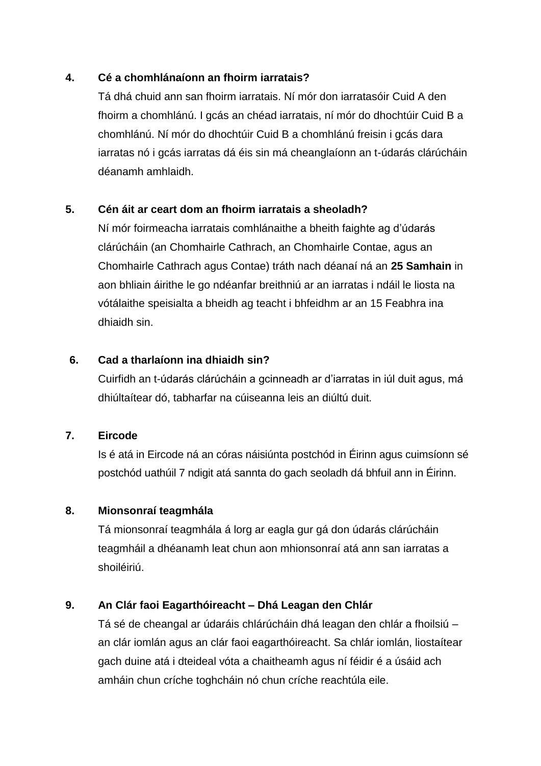## **4. Cé a chomhlánaíonn an fhoirm iarratais?**

Tá dhá chuid ann san fhoirm iarratais. Ní mór don iarratasóir Cuid A den fhoirm a chomhlánú. I gcás an chéad iarratais, ní mór do dhochtúir Cuid B a chomhlánú. Ní mór do dhochtúir Cuid B a chomhlánú freisin i gcás dara iarratas nó i gcás iarratas dá éis sin má cheanglaíonn an t-údarás clárúcháin déanamh amhlaidh.

## **5. Cén áit ar ceart dom an fhoirm iarratais a sheoladh?**

Ní mór foirmeacha iarratais comhlánaithe a bheith faighte ag d'údarás clárúcháin (an Chomhairle Cathrach, an Chomhairle Contae, agus an Chomhairle Cathrach agus Contae) tráth nach déanaí ná an **25 Samhain** in aon bhliain áirithe le go ndéanfar breithniú ar an iarratas i ndáil le liosta na vótálaithe speisialta a bheidh ag teacht i bhfeidhm ar an 15 Feabhra ina dhiaidh sin.

## **6. Cad a tharlaíonn ina dhiaidh sin?**

Cuirfidh an t-údarás clárúcháin a gcinneadh ar d'iarratas in iúl duit agus, má dhiúltaítear dó, tabharfar na cúiseanna leis an diúltú duit.

## **7. Eircode**

Is é atá in Eircode ná an córas náisiúnta postchód in Éirinn agus cuimsíonn sé postchód uathúil 7 ndigit atá sannta do gach seoladh dá bhfuil ann in Éirinn.

## **8. Mionsonraí teagmhála**

Tá mionsonraí teagmhála á lorg ar eagla gur gá don údarás clárúcháin teagmháil a dhéanamh leat chun aon mhionsonraí atá ann san iarratas a shoiléiriú.

## **9. An Clár faoi Eagarthóireacht – Dhá Leagan den Chlár**

Tá sé de cheangal ar údaráis chlárúcháin dhá leagan den chlár a fhoilsiú – an clár iomlán agus an clár faoi eagarthóireacht. Sa chlár iomlán, liostaítear gach duine atá i dteideal vóta a chaitheamh agus ní féidir é a úsáid ach amháin chun críche toghcháin nó chun críche reachtúla eile.